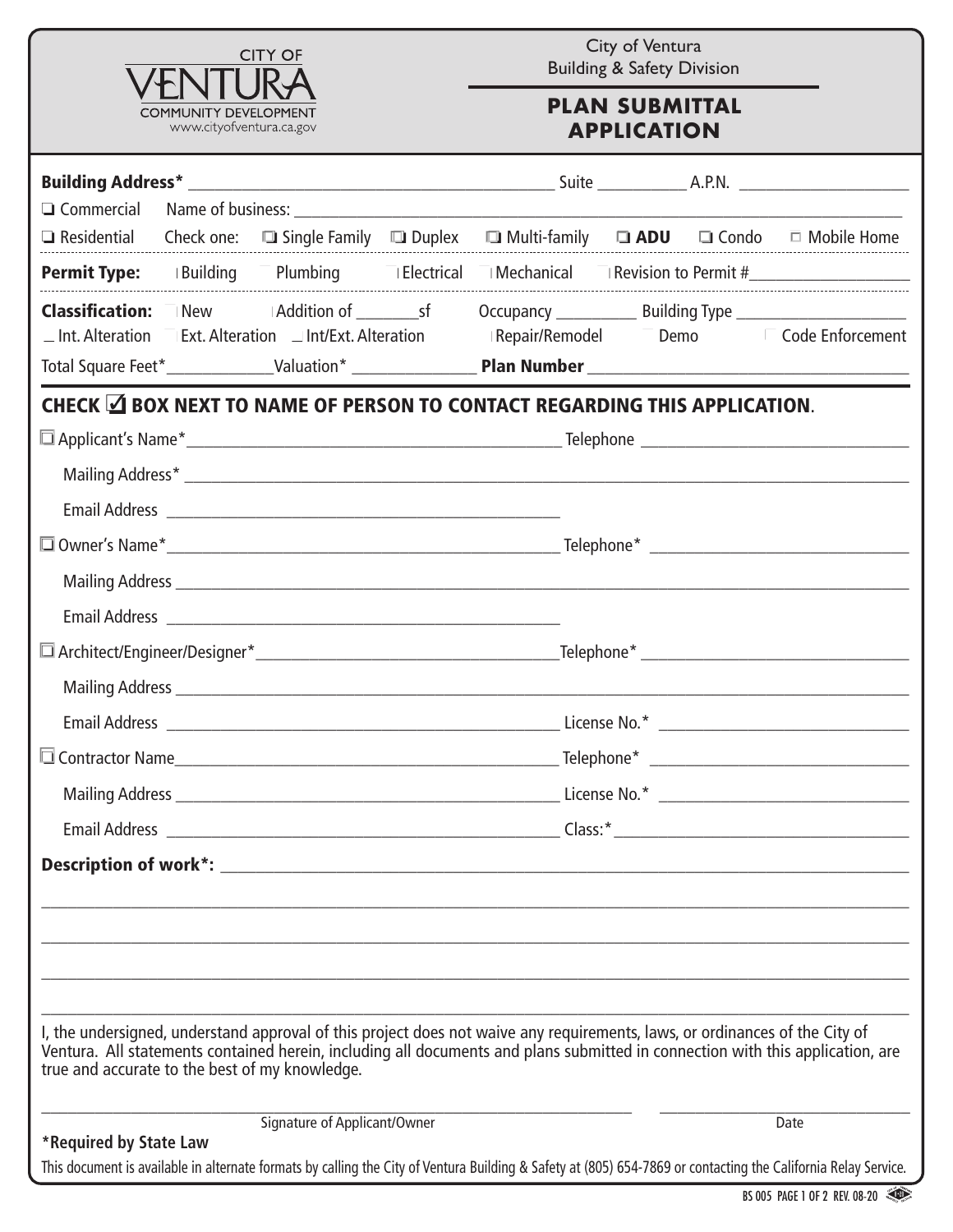

City of Ventura Building & Safety Division

## **PLAN SUBMITTAL APPLICATION**

|                                                |                                                                   | <b>□ Residential</b> Check one: □ Single Family □ Duplex □ Multi-family □ <b>ADU</b> □ Condo □ Mobile Home                                                                                                                                                    |  |                                                                                                                                                                |
|------------------------------------------------|-------------------------------------------------------------------|---------------------------------------------------------------------------------------------------------------------------------------------------------------------------------------------------------------------------------------------------------------|--|----------------------------------------------------------------------------------------------------------------------------------------------------------------|
|                                                |                                                                   |                                                                                                                                                                                                                                                               |  | <b>Permit Type:</b> Building Plumbing IElectrical IMechanical IRevision to Permit #                                                                            |
|                                                | $\Box$ Int. Alteration Ext. Alteration $\Box$ Int/Ext. Alteration |                                                                                                                                                                                                                                                               |  | Repair/Remodel Demo<br>Demo<br>Code Enforcement                                                                                                                |
|                                                |                                                                   |                                                                                                                                                                                                                                                               |  | Total Square Feet*_______________Valuation* _______________________Plan Number _______________________________                                                 |
|                                                |                                                                   | CHECK <b>△ BOX NEXT TO NAME OF PERSON TO CONTACT REGARDING THIS APPLICATION.</b>                                                                                                                                                                              |  |                                                                                                                                                                |
|                                                |                                                                   |                                                                                                                                                                                                                                                               |  |                                                                                                                                                                |
|                                                |                                                                   |                                                                                                                                                                                                                                                               |  |                                                                                                                                                                |
|                                                |                                                                   |                                                                                                                                                                                                                                                               |  |                                                                                                                                                                |
|                                                |                                                                   |                                                                                                                                                                                                                                                               |  |                                                                                                                                                                |
|                                                |                                                                   |                                                                                                                                                                                                                                                               |  |                                                                                                                                                                |
|                                                |                                                                   |                                                                                                                                                                                                                                                               |  |                                                                                                                                                                |
|                                                |                                                                   |                                                                                                                                                                                                                                                               |  |                                                                                                                                                                |
|                                                |                                                                   |                                                                                                                                                                                                                                                               |  |                                                                                                                                                                |
|                                                |                                                                   |                                                                                                                                                                                                                                                               |  |                                                                                                                                                                |
|                                                |                                                                   |                                                                                                                                                                                                                                                               |  |                                                                                                                                                                |
|                                                |                                                                   |                                                                                                                                                                                                                                                               |  |                                                                                                                                                                |
|                                                |                                                                   |                                                                                                                                                                                                                                                               |  |                                                                                                                                                                |
|                                                |                                                                   |                                                                                                                                                                                                                                                               |  |                                                                                                                                                                |
|                                                |                                                                   |                                                                                                                                                                                                                                                               |  |                                                                                                                                                                |
|                                                |                                                                   |                                                                                                                                                                                                                                                               |  |                                                                                                                                                                |
|                                                |                                                                   |                                                                                                                                                                                                                                                               |  |                                                                                                                                                                |
|                                                |                                                                   |                                                                                                                                                                                                                                                               |  |                                                                                                                                                                |
| true and accurate to the best of my knowledge. |                                                                   | I, the undersigned, understand approval of this project does not waive any requirements, laws, or ordinances of the City of<br>Ventura. All statements contained herein, including all documents and plans submitted in connection with this application, are |  |                                                                                                                                                                |
|                                                | Signature of Applicant/Owner                                      |                                                                                                                                                                                                                                                               |  | Date                                                                                                                                                           |
| *Required by State Law                         |                                                                   |                                                                                                                                                                                                                                                               |  | This document is available in alternate formats by calling the City of Ventura Building & Safety at (805) 654-7869 or contacting the California Relay Service. |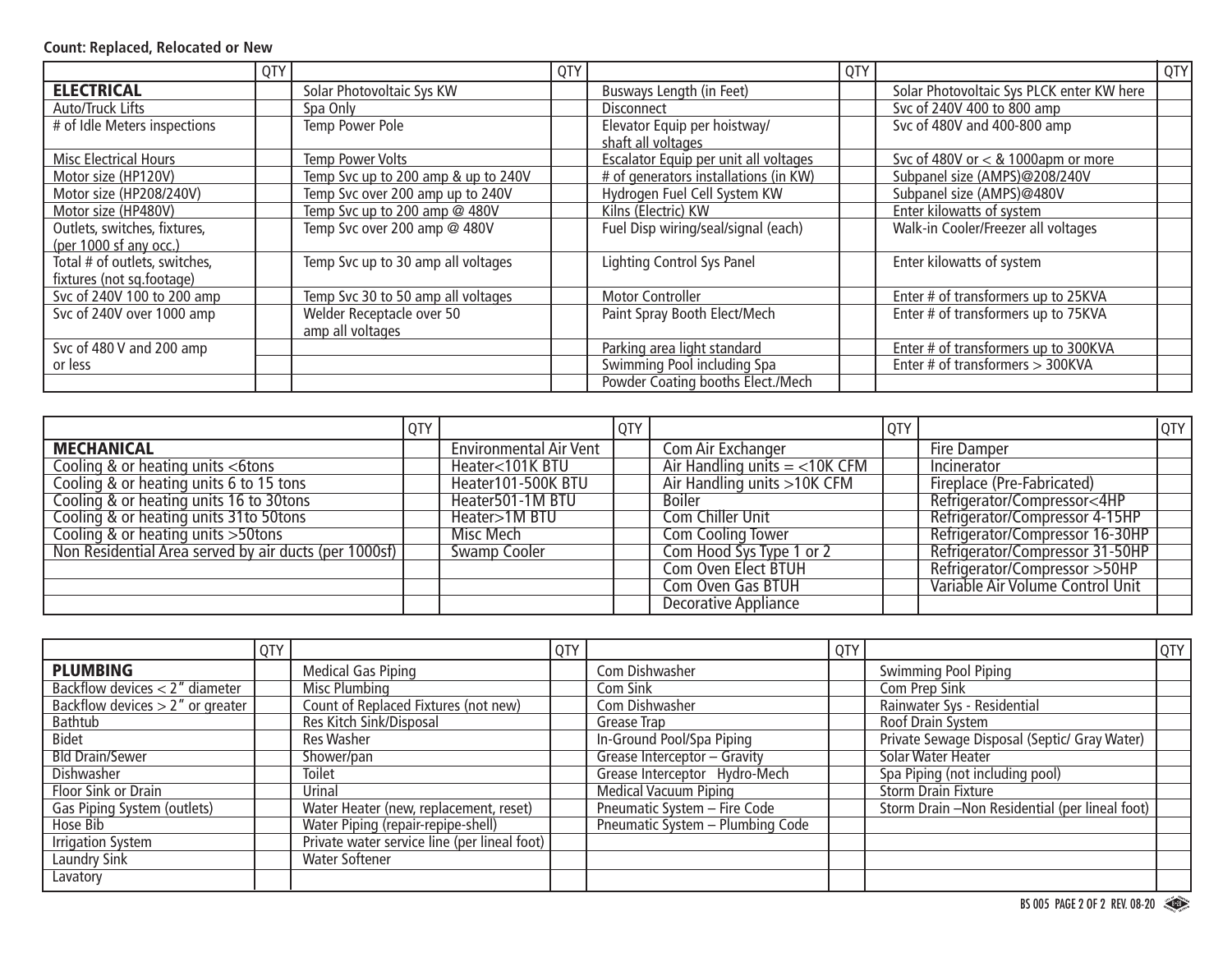#### **Count: Replaced, Relocated or New**

|                                                            | QTY |                                               | QTY |                                                    | QTY |                                           | QTY |
|------------------------------------------------------------|-----|-----------------------------------------------|-----|----------------------------------------------------|-----|-------------------------------------------|-----|
| <b>ELECTRICAL</b>                                          |     | Solar Photovoltaic Sys KW                     |     | Busways Length (in Feet)                           |     | Solar Photovoltaic Sys PLCK enter KW here |     |
| Auto/Truck Lifts                                           |     | Spa Only                                      |     | <b>Disconnect</b>                                  |     | Svc of 240V 400 to 800 amp                |     |
| # of Idle Meters inspections                               |     | Temp Power Pole                               |     | Elevator Equip per hoistway/<br>shaft all voltages |     | Svc of 480V and 400-800 amp               |     |
| <b>Misc Electrical Hours</b>                               |     | <b>Temp Power Volts</b>                       |     | Escalator Equip per unit all voltages              |     | Svc of 480V or $<$ & 1000apm or more      |     |
| Motor size (HP120V)                                        |     | Temp Svc up to 200 amp & up to 240V           |     | # of generators installations (in KW)              |     | Subpanel size (AMPS)@208/240V             |     |
| Motor size (HP208/240V)                                    |     | Temp Svc over 200 amp up to 240V              |     | Hydrogen Fuel Cell System KW                       |     | Subpanel size (AMPS)@480V                 |     |
| Motor size (HP480V)                                        |     | Temp Svc up to 200 amp @ 480V                 |     | Kilns (Electric) KW                                |     | Enter kilowatts of system                 |     |
| Outlets, switches, fixtures,<br>(per 1000 sf any occ.)     |     | Temp Svc over 200 amp @ 480V                  |     | Fuel Disp wiring/seal/signal (each)                |     | Walk-in Cooler/Freezer all voltages       |     |
| Total # of outlets, switches,<br>fixtures (not sq.footage) |     | Temp Svc up to 30 amp all voltages            |     | Lighting Control Sys Panel                         |     | Enter kilowatts of system                 |     |
| Svc of 240V 100 to 200 amp                                 |     | Temp Svc 30 to 50 amp all voltages            |     | <b>Motor Controller</b>                            |     | Enter # of transformers up to 25KVA       |     |
| Svc of 240V over 1000 amp                                  |     | Welder Receptacle over 50<br>amp all voltages |     | Paint Spray Booth Elect/Mech                       |     | Enter # of transformers up to 75KVA       |     |
| Svc of 480 V and 200 amp                                   |     |                                               |     | Parking area light standard                        |     | Enter # of transformers up to 300KVA      |     |
| or less                                                    |     |                                               |     | Swimming Pool including Spa                        |     | Enter # of transformers > 300KVA          |     |
|                                                            |     |                                               |     | Powder Coating booths Elect./Mech                  |     |                                           |     |

|                                                       | QTY |                               | <b>QTY</b> |                                 | QTY |                                  | QTY |
|-------------------------------------------------------|-----|-------------------------------|------------|---------------------------------|-----|----------------------------------|-----|
| <b>MECHANICAL</b>                                     |     | <b>Environmental Air Vent</b> |            | Com Air Exchanger               |     | Fire Damper                      |     |
| Cooling & or heating units <6tons                     |     | Heater<101K BTU               |            | Air Handling units $=$ <10K CFM |     | Incinerator                      |     |
| Cooling & or heating units 6 to 15 tons               |     | Heater101-500K BTU            |            | Air Handling units >10K CFM     |     | Fireplace (Pre-Fabricated)       |     |
| Cooling & or heating units 16 to 30tons               |     | Heater501-1M BTU              |            | <b>Boiler</b>                   |     | Refrigerator/Compressor<4HP      |     |
| Cooling & or heating units 31 to 50 tons              |     | Heater>1M BTU                 |            | <b>Com Chiller Unit</b>         |     | Refrigerator/Compressor 4-15HP   |     |
| Cooling & or heating units > 50tons                   |     | Misc Mech                     |            | <b>Com Cooling Tower</b>        |     | Refrigerator/Compressor 16-30HP  |     |
| Non Residential Area served by air ducts (per 1000sf) |     | <b>Swamp Cooler</b>           |            | Com Hood Sys Type 1 or 2        |     | Refrigerator/Compressor 31-50HP  |     |
|                                                       |     |                               |            | Com Oven Elect BTUH             |     | Refrigerator/Compressor > 50HP   |     |
|                                                       |     |                               |            | <b>Com Oven Gas BTUH</b>        |     | Variable Air Volume Control Unit |     |
|                                                       |     |                               |            | <b>Decorative Appliance</b>     |     |                                  |     |

|                                     | QTY |                                              | QTY |                                  | QTY |                                                 | QTY |
|-------------------------------------|-----|----------------------------------------------|-----|----------------------------------|-----|-------------------------------------------------|-----|
| <b>PLUMBING</b>                     |     | <b>Medical Gas Piping</b>                    |     | Com Dishwasher                   |     | Swimming Pool Piping                            |     |
| Backflow devices $<$ 2" diameter    |     | <b>Misc Plumbing</b>                         |     | Com Sink                         |     | <b>Com Prep Sink</b>                            |     |
| Backflow devices $> 2$ " or greater |     | Count of Replaced Fixtures (not new)         |     | Com Dishwasher                   |     | Rainwater Sys - Residential                     |     |
| Bathtub                             |     | Res Kitch Sink/Disposal                      |     | Grease Trap                      |     | Roof Drain System                               |     |
| Bidet                               |     | Res Washer                                   |     | In-Ground Pool/Spa Piping        |     | Private Sewage Disposal (Septic/ Gray Water)    |     |
| <b>Bld Drain/Sewer</b>              |     | Shower/pan                                   |     | Grease Interceptor - Gravity     |     | Solar Water Heater                              |     |
| Dishwasher                          |     | <b>Toilet</b>                                |     | Grease Interceptor Hydro-Mech    |     | Spa Piping (not including pool)                 |     |
| Floor Sink or Drain                 |     | Urinal                                       |     | <b>Medical Vacuum Piping</b>     |     | <b>Storm Drain Fixture</b>                      |     |
| Gas Piping System (outlets)         |     | Water Heater (new, replacement, reset)       |     | Pneumatic System - Fire Code     |     | Storm Drain - Non Residential (per lineal foot) |     |
| Hose Bib                            |     | Water Piping (repair-repipe-shell)           |     | Pneumatic System - Plumbing Code |     |                                                 |     |
| <b>Irrigation System</b>            |     | Private water service line (per lineal foot) |     |                                  |     |                                                 |     |
| Laundry Sink                        |     | Water Softener                               |     |                                  |     |                                                 |     |
| Lavatory                            |     |                                              |     |                                  |     |                                                 |     |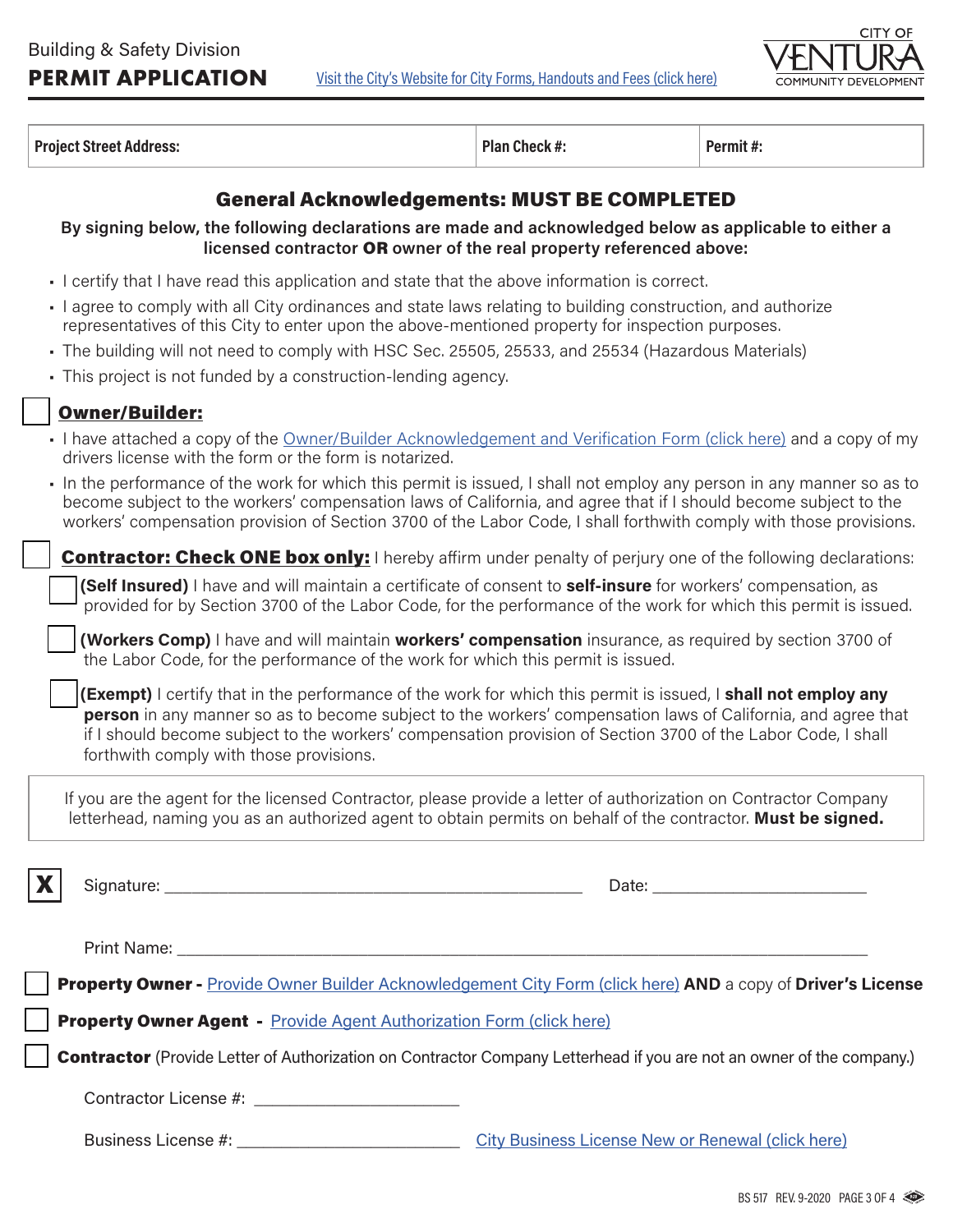[Visit the City's Website for City Forms, Handouts and Fees \(click here\)](https://www.cityofventura.ca.gov/1863/Permits-Forms-and-Documents)



**Project Street Address: Plan Check #: Plan Check #: Permit #: Permit #: Permit #: Permit #: Permit #: Permit #: Permit #: Permit #: Permit #: Permit #: Permit #: Permit #: Permit #: Permit** 

### General Acknowledgements: MUST BE COMPLETED

**By signing below, the following declarations are made and acknowledged below as applicable to either a licensed contractor** OR **owner of the real property referenced above:**

- I certify that I have read this application and state that the above information is correct.
- I agree to comply with all City ordinances and state laws relating to building construction, and authorize representatives of this City to enter upon the above-mentioned property for inspection purposes.
- The building will not need to comply with HSC Sec. 25505, 25533, and 25534 (Hazardous Materials)
- This project is not funded by a construction-lending agency.

#### **Owner/Builder:**

- I have attached a copy of the [Owner/Builder Acknowledgement and Verification Form \(click here\)](https://www.cityofventura.ca.gov/DocumentCenter/View/21602/Owner-Builder-Acknowledgement) and a copy of my drivers license with the form or the form is notarized.
- In the performance of the work for which this permit is issued, I shall not employ any person in any manner so as to become subject to the workers' compensation laws of California, and agree that if I should become subject to the workers' compensation provision of Section 3700 of the Labor Code, I shall forthwith comply with those provisions.

**Contractor: Check ONE box only:** I hereby affirm under penalty of perjury one of the following declarations:

q **(Self Insured)** I have and will maintain a certificate of consent to **self-insure** for workers' compensation, as provided for by Section 3700 of the Labor Code, for the performance of the work for which this permit is issued.

q **(Workers Comp)** I have and will maintain **workers' compensation** insurance, as required by section 3700 of the Labor Code, for the performance of the work for which this permit is issued.

**(Exempt)** I certify that in the performance of the work for which this permit is issued, I **shall not employ any person** in any manner so as to become subject to the workers' compensation laws of California, and agree that if I should become subject to the workers' compensation provision of Section 3700 of the Labor Code, I shall forthwith comply with those provisions.

If you are the agent for the licensed Contractor, please provide a letter of authorization on Contractor Company letterhead, naming you as an authorized agent to obtain permits on behalf of the contractor. **Must be signed.**

X Signature: \_\_\_\_\_\_\_\_\_\_\_\_\_\_\_\_\_\_\_\_\_\_\_\_\_\_\_\_\_\_\_\_\_\_\_\_\_\_\_\_\_\_\_\_\_\_ Date: \_\_\_\_\_\_\_\_\_\_\_\_\_\_\_\_\_\_\_\_\_\_\_\_

Print Name: **Example 1** 

q Property Owner - [Provide Owner Builder Acknowledgement City Form \(click here\)](https://www.cityofventura.ca.gov/DocumentCenter/View/21602/Owner-Builder-Acknowledgement) **AND** a copy of **Driver's License**

Property Owner Agent - Provide Agent Authorization Form (click here)

**Contractor** (Provide Letter of Authorization on Contractor Company Letterhead if you are not an owner of the company.)

Contractor License #:

Business License #:  $\qquad \qquad \qquad \qquad \qquad$  [City Business License New or Renewal \(click here\)](https://www.cityofventura.ca.gov/1552/Business-License)